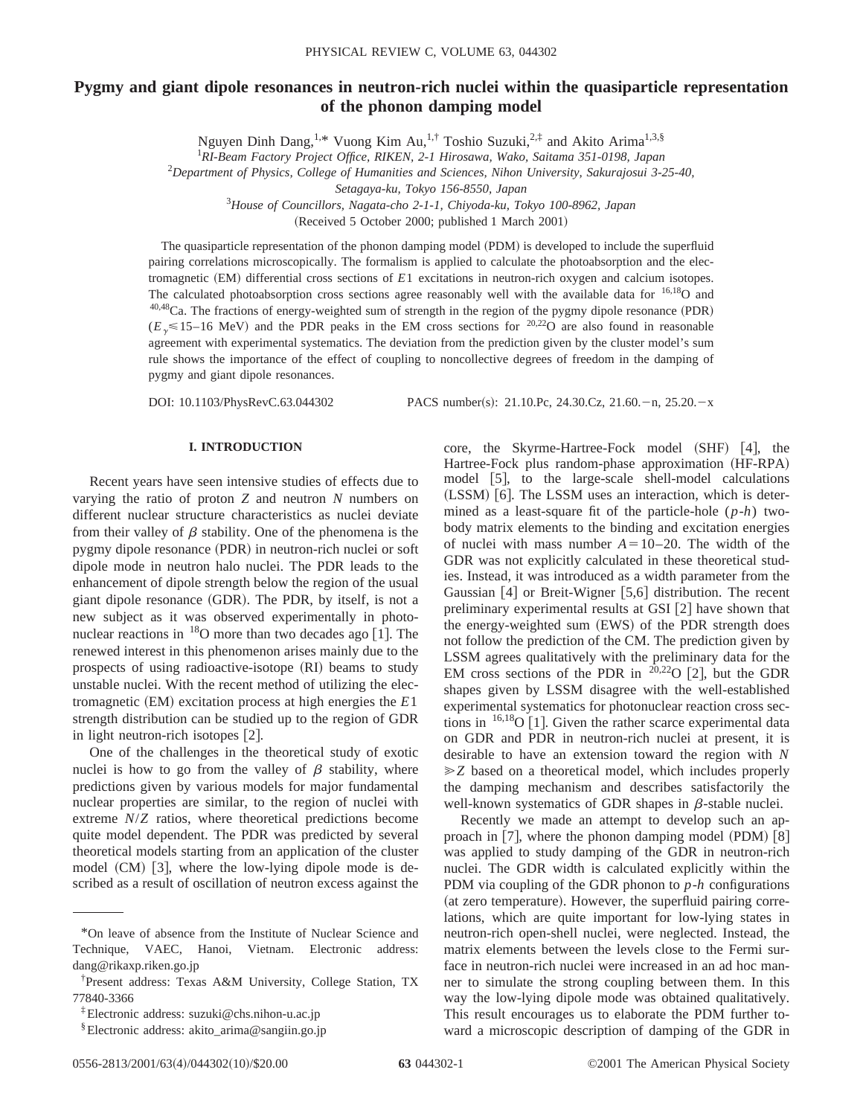# **Pygmy and giant dipole resonances in neutron-rich nuclei within the quasiparticle representation of the phonon damping model**

Nguyen Dinh Dang,<sup>1,\*</sup> Vuong Kim Au,<sup>1,†</sup> Toshio Suzuki,<sup>2,‡</sup> and Akito Arima<sup>1,3,§</sup>

1 *RI-Beam Factory Project Office, RIKEN, 2-1 Hirosawa, Wako, Saitama 351-0198, Japan*

2 *Department of Physics, College of Humanities and Sciences, Nihon University, Sakurajosui 3-25-40,*

*Setagaya-ku, Tokyo 156-8550, Japan*

3 *House of Councillors, Nagata-cho 2-1-1, Chiyoda-ku, Tokyo 100-8962, Japan*

 $(Received 5 October 2000; published 1 March 2001)$ 

The quasiparticle representation of the phonon damping model (PDM) is developed to include the superfluid pairing correlations microscopically. The formalism is applied to calculate the photoabsorption and the electromagnetic (EM) differential cross sections of *E*1 excitations in neutron-rich oxygen and calcium isotopes. The calculated photoabsorption cross sections agree reasonably well with the available data for <sup>16,18</sup>O and  $40,48$ Ca. The fractions of energy-weighted sum of strength in the region of the pygmy dipole resonance (PDR)  $(E<sub>v</sub> \le 15-16$  MeV) and the PDR peaks in the EM cross sections for <sup>20,22</sup>O are also found in reasonable agreement with experimental systematics. The deviation from the prediction given by the cluster model's sum rule shows the importance of the effect of coupling to noncollective degrees of freedom in the damping of pygmy and giant dipole resonances.

DOI: 10.1103/PhysRevC.63.044302 PACS number(s): 21.10.Pc, 24.30.Cz, 21.60. - n, 25.20. - x

## **I. INTRODUCTION**

Recent years have seen intensive studies of effects due to varying the ratio of proton *Z* and neutron *N* numbers on different nuclear structure characteristics as nuclei deviate from their valley of  $\beta$  stability. One of the phenomena is the pygmy dipole resonance (PDR) in neutron-rich nuclei or soft dipole mode in neutron halo nuclei. The PDR leads to the enhancement of dipole strength below the region of the usual giant dipole resonance (GDR). The PDR, by itself, is not a new subject as it was observed experimentally in photonuclear reactions in  $^{18}$ O more than two decades ago [1]. The renewed interest in this phenomenon arises mainly due to the prospects of using radioactive-isotope (RI) beams to study unstable nuclei. With the recent method of utilizing the electromagnetic  $(EM)$  excitation process at high energies the  $E1$ strength distribution can be studied up to the region of GDR in light neutron-rich isotopes  $[2]$ .

One of the challenges in the theoretical study of exotic nuclei is how to go from the valley of  $\beta$  stability, where predictions given by various models for major fundamental nuclear properties are similar, to the region of nuclei with extreme *N*/*Z* ratios, where theoretical predictions become quite model dependent. The PDR was predicted by several theoretical models starting from an application of the cluster model  $(CM)$  [3], where the low-lying dipole mode is described as a result of oscillation of neutron excess against the

 $core,$  the Skyrme-Hartree-Fock model  $(SHF)$  [4], the Hartree-Fock plus random-phase approximation (HF-RPA) model  $[5]$ , to the large-scale shell-model calculations (LSSM) [6]. The LSSM uses an interaction, which is determined as a least-square fit of the particle-hole (*p*-*h*) twobody matrix elements to the binding and excitation energies of nuclei with mass number  $A=10-20$ . The width of the GDR was not explicitly calculated in these theoretical studies. Instead, it was introduced as a width parameter from the Gaussian  $[4]$  or Breit-Wigner  $[5,6]$  distribution. The recent preliminary experimental results at GSI  $[2]$  have shown that the energy-weighted sum (EWS) of the PDR strength does not follow the prediction of the CM. The prediction given by LSSM agrees qualitatively with the preliminary data for the EM cross sections of the PDR in  $20,22$ O [2], but the GDR shapes given by LSSM disagree with the well-established experimental systematics for photonuclear reaction cross sections in  $16,18$ O [1]. Given the rather scarce experimental data on GDR and PDR in neutron-rich nuclei at present, it is desirable to have an extension toward the region with *N* ≥Z based on a theoretical model, which includes properly the damping mechanism and describes satisfactorily the well-known systematics of GDR shapes in  $\beta$ -stable nuclei.

Recently we made an attempt to develop such an approach in  $[7]$ , where the phonon damping model (PDM)  $[8]$ was applied to study damping of the GDR in neutron-rich nuclei. The GDR width is calculated explicitly within the PDM via coupling of the GDR phonon to *p*-*h* configurations (at zero temperature). However, the superfluid pairing correlations, which are quite important for low-lying states in neutron-rich open-shell nuclei, were neglected. Instead, the matrix elements between the levels close to the Fermi surface in neutron-rich nuclei were increased in an ad hoc manner to simulate the strong coupling between them. In this way the low-lying dipole mode was obtained qualitatively. This result encourages us to elaborate the PDM further toward a microscopic description of damping of the GDR in

<sup>\*</sup>On leave of absence from the Institute of Nuclear Science and Technique, VAEC, Hanoi, Vietnam. Electronic address: dang@rikaxp.riken.go.jp

<sup>†</sup> Present address: Texas A&M University, College Station, TX 77840-3366

<sup>‡</sup>Electronic address: suzuki@chs.nihon-u.ac.jp

<sup>§</sup>Electronic address: akito\_arima@sangiin.go.jp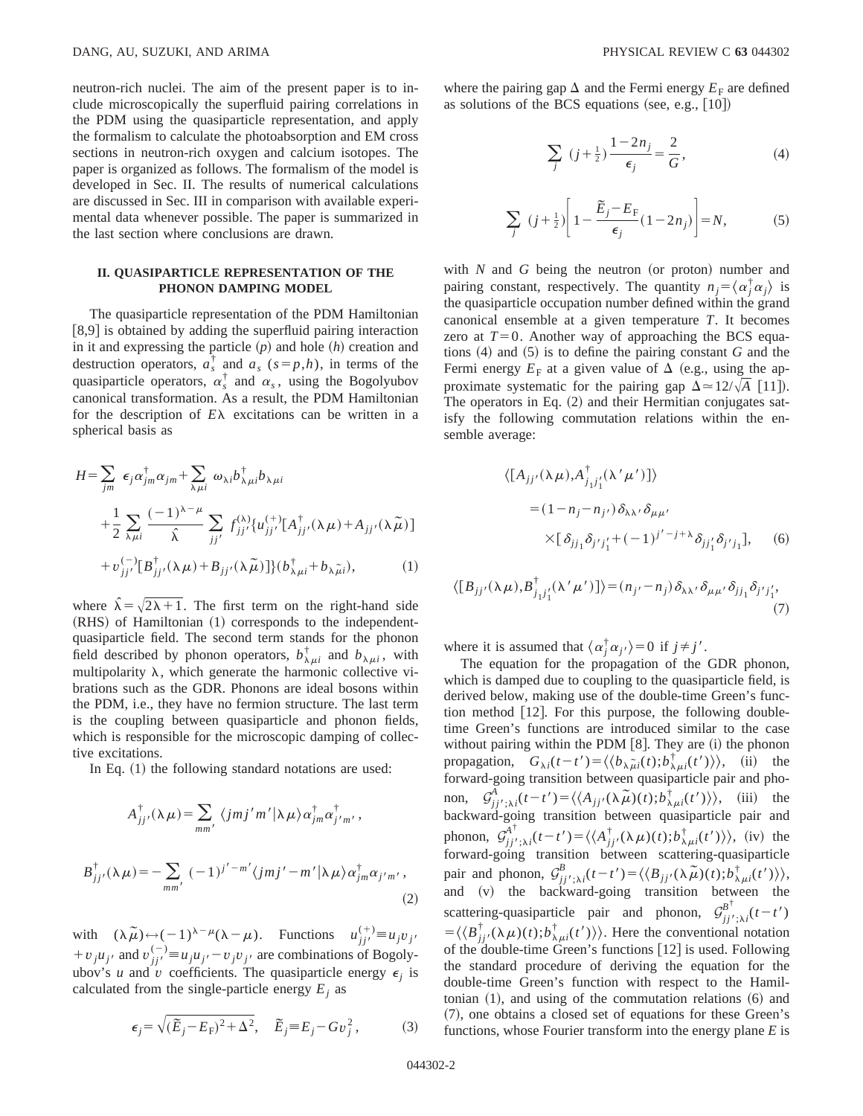neutron-rich nuclei. The aim of the present paper is to include microscopically the superfluid pairing correlations in the PDM using the quasiparticle representation, and apply the formalism to calculate the photoabsorption and EM cross sections in neutron-rich oxygen and calcium isotopes. The paper is organized as follows. The formalism of the model is developed in Sec. II. The results of numerical calculations are discussed in Sec. III in comparison with available experimental data whenever possible. The paper is summarized in the last section where conclusions are drawn.

## **II. QUASIPARTICLE REPRESENTATION OF THE PHONON DAMPING MODEL**

The quasiparticle representation of the PDM Hamiltonian  $[8,9]$  is obtained by adding the superfluid pairing interaction in it and expressing the particle  $(p)$  and hole  $(h)$  creation and destruction operators,  $a_s^{\dagger}$  and  $a_s$  ( $s=p,h$ ), in terms of the quasiparticle operators,  $\alpha_s^{\dagger}$  and  $\alpha_s$ , using the Bogolyubov canonical transformation. As a result, the PDM Hamiltonian for the description of  $E\lambda$  excitations can be written in a spherical basis as

$$
H = \sum_{jm} \epsilon_j \alpha_{jm}^{\dagger} \alpha_{jm} + \sum_{\lambda \mu i} \omega_{\lambda i} b_{\lambda \mu i}^{\dagger} b_{\lambda \mu i} + \frac{1}{2} \sum_{\lambda \mu i} \frac{(-1)^{\lambda - \mu}}{\hat{\lambda}} \sum_{jj'} f_{jj'}^{(\lambda)} \{u_{jj'}^{(+)}[A_{jj'}^{\dagger}(\lambda \mu) + A_{jj'}(\lambda \tilde{\mu})] + v_{jj'}^{(-)}[B_{jj'}^{\dagger}(\lambda \mu) + B_{jj'}(\lambda \tilde{\mu})]\} (b_{\lambda \mu i}^{\dagger} + b_{\lambda \tilde{\mu} i}),
$$
 (1)

where  $\hat{\lambda} = \sqrt{2\lambda + 1}$ . The first term on the right-hand side  $(RHS)$  of Hamiltonian  $(1)$  corresponds to the independentquasiparticle field. The second term stands for the phonon field described by phonon operators,  $b^{\dagger}_{\lambda\mu i}$  and  $b^{\dagger}_{\lambda\mu i}$ , with multipolarity  $\lambda$ , which generate the harmonic collective vibrations such as the GDR. Phonons are ideal bosons within the PDM, i.e., they have no fermion structure. The last term is the coupling between quasiparticle and phonon fields, which is responsible for the microscopic damping of collective excitations.

In Eq.  $(1)$  the following standard notations are used:

$$
A_{jj'}^{\dagger}(\lambda \mu) = \sum_{mm'} \langle jmj'm'|\lambda \mu \rangle \alpha_{jm}^{\dagger} \alpha_{j'm'}^{\dagger},
$$
  

$$
B_{jj'}^{\dagger}(\lambda \mu) = -\sum_{mm'} (-1)^{j'-m'} \langle jmj'-m'|\lambda \mu \rangle \alpha_{jm}^{\dagger} \alpha_{j'm'},
$$
 (2)

with  $(\lambda \widetilde{\mu}) \leftarrow (-1)^{\lambda - \mu} (\lambda - \mu)$ . Functions  $u_{jj'}^{(+)} \equiv u_j v_j$ +  $v_j u_{j'}$  and  $v_{jj'}^{(-)} \equiv u_j u_{j'} - v_j v_{j'}$  are combinations of Bogolyubov's *u* and *v* coefficients. The quasiparticle energy  $\epsilon_i$  is calculated from the single-particle energy  $E_i$  as

$$
\epsilon_j = \sqrt{(\widetilde{E}_j - E_{\rm F})^2 + \Delta^2}, \quad \widetilde{E}_j \equiv E_j - G v_j^2, \tag{3}
$$

where the pairing gap  $\Delta$  and the Fermi energy  $E_F$  are defined as solutions of the BCS equations (see, e.g.,  $[10]$ )

$$
\sum_{j} (j + \frac{1}{2}) \frac{1 - 2n_j}{\epsilon_j} = \frac{2}{G},
$$
 (4)

$$
\sum_{j} (j + \frac{1}{2}) \left[ 1 - \frac{\widetilde{E}_{j} - E_{\mathrm{F}}}{\epsilon_{j}} (1 - 2n_{j}) \right] = N, \tag{5}
$$

with  $N$  and  $G$  being the neutron (or proton) number and pairing constant, respectively. The quantity  $n_j = \langle \alpha_j^{\dagger} \alpha_j \rangle$  is the quasiparticle occupation number defined within the grand canonical ensemble at a given temperature *T*. It becomes zero at  $T=0$ . Another way of approaching the BCS equations  $(4)$  and  $(5)$  is to define the pairing constant *G* and the Fermi energy  $E_F$  at a given value of  $\Delta$  (e.g., using the approximate systematic for the pairing gap  $\Delta \approx 12/\sqrt{A}$  [11]). The operators in Eq.  $(2)$  and their Hermitian conjugates satisfy the following commutation relations within the ensemble average:

$$
\langle [A_{jj'}(\lambda \mu), A^{\dagger}_{j_1j'_1}(\lambda' \mu')] \rangle
$$
  
=  $(1 - n_j - n_{j'}) \delta_{\lambda \lambda'} \delta_{\mu \mu'}$   

$$
\times [\delta_{jj_1} \delta_{j'j'_1} + (-1)^{j'-j+\lambda} \delta_{jj'_1} \delta_{j'j_1}], \quad (6)
$$

$$
\langle [B_{jj'}(\lambda \mu), B^{\dagger}_{j_1j'_1}(\lambda' \mu')] \rangle = (n_{j'} - n_j) \, \delta_{\lambda \lambda'} \, \delta_{\mu \mu'} \, \delta_{j j_1} \delta_{j' j'_1},
$$
\n(7)

where it is assumed that  $\langle \alpha_j^{\dagger} \alpha_{j'} \rangle = 0$  if  $j \neq j'$ .

The equation for the propagation of the GDR phonon, which is damped due to coupling to the quasiparticle field, is derived below, making use of the double-time Green's function method  $[12]$ . For this purpose, the following doubletime Green's functions are introduced similar to the case without pairing within the PDM  $[8]$ . They are  $(i)$  the phonon propagation,  $G_{\lambda i}(t-t') = \langle \langle b_{\lambda \mu i}(t); b_{\lambda \mu i}^{\dagger}(t') \rangle \rangle$ , (ii) the forward-going transition between quasiparticle pair and phonon,  $G_{jj'}^A{}_{;\lambda i}(t-t') = \langle \langle A_{jj'}(\lambda \tilde{\mu})(t); b_{\lambda \mu i}^{\dagger}(t') \rangle \rangle$ , (iii) the backward-going transition between quasiparticle pair and phonon,  $\mathcal{G}_{jj',\lambda i}^{A^{\dagger}}(t-t') = \langle \langle A_{jj'}^{\dagger}(\lambda \mu)(t); b_{\lambda \mu i}^{\dagger}(t') \rangle \rangle$ , (iv) the forward-going transition between scattering-quasiparticle pair and phonon,  $\mathcal{G}_{jj'}^B$ ; $\chi_i(t-t') = \langle \langle B_{jj'}(\lambda \mu)(t); b_{\lambda \mu i}^{\dagger}(t') \rangle \rangle$ , and (v) the backward-going transition between the scattering-quasiparticle pair and phonon,  $\mathcal{G}_{jj',\lambda i}^{B^{\dagger}}(t-t')$  $=\langle \langle B_{jj'}^{\dagger}(\lambda \mu)(t); b_{\lambda \mu i}^{\dagger}(t') \rangle \rangle$ . Here the conventional notation of the double-time Green's functions [12] is used. Following the standard procedure of deriving the equation for the double-time Green's function with respect to the Hamiltonian  $(1)$ , and using of the commutation relations  $(6)$  and ~7!, one obtains a closed set of equations for these Green's functions, whose Fourier transform into the energy plane *E* is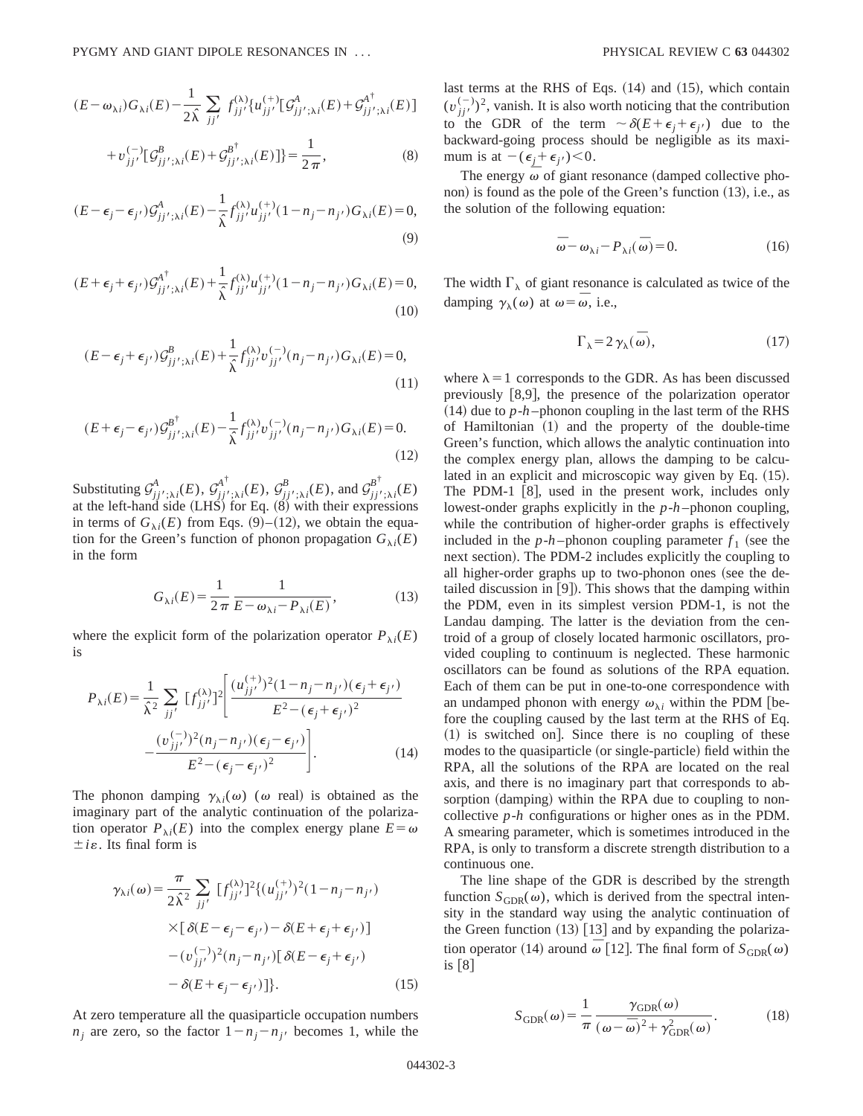$$
(E - \omega_{\lambda i}) G_{\lambda i}(E) - \frac{1}{2\hat{\lambda}} \sum_{jj'} f_{jj'}^{(\lambda)} \{u_{jj'}^{(+)}[G_{jj';\lambda i}^A(E) + G_{jj';\lambda i}^{A^{\dagger}}(E)]
$$
  
+  $v_{jj'}^{(-)}[G_{jj';\lambda i}^B(E) + G_{jj';\lambda i}^{B^{\dagger}}(E)]\} = \frac{1}{2\pi},$  (8)

$$
(E - \epsilon_j - \epsilon_{j'})\mathcal{G}^A_{jj';\lambda i}(E) - \frac{1}{\hat{\lambda}} f^{(\lambda)}_{jj'} u^{(+)}_{jj'} (1 - n_j - n_{j'}) G_{\lambda i}(E) = 0,
$$
\n(9)

$$
(E+\epsilon_j+\epsilon_{j'})\mathcal{G}_{jj';\lambda i}^{\mathcal{A}^{\dagger}}(E)+\frac{1}{\hat{\lambda}}f_{jj'}^{\lambda_i}\mathcal{U}_{jj'}^{(+)}(1-n_j-n_{j'})G_{\lambda i}(E)=0,
$$
\n(10)

$$
(E - \epsilon_j + \epsilon_{j'})\mathcal{G}_{jj';\lambda i}^B(E) + \frac{1}{\hat{\lambda}} f_{jj'}^{\lambda\lambda} v_{jj'}^{(-)}(n_j - n_{j'}) G_{\lambda i}(E) = 0,
$$
\n(11)

$$
(E+\epsilon_j-\epsilon_{j'})\mathcal{G}_{jj';\lambda i}^{\beta^{\dagger}}(E)-\frac{1}{\hat{\lambda}}f_{jj'}^{\lambda\lambda}v_{jj'}^{(-)}(n_j-n_{j'})G_{\lambda i}(E)=0.
$$
\n(12)

Substituting  $\mathcal{G}^A_{jj';\lambda i}(E), \mathcal{G}^{A^{\dagger}}_{jj';\lambda i}(E), \mathcal{G}^B_{jj';\lambda i}(E)$ , and  $\mathcal{G}^{B^{\dagger}}_{jj';\lambda i}(E)$ at the left-hand side  $(LHS)$  for Eq.  $(8)$  with their expressions in terms of  $G_{\lambda i}(E)$  from Eqs. (9)–(12), we obtain the equation for the Green's function of phonon propagation  $G_{\lambda i}(E)$ in the form

$$
G_{\lambda i}(E) = \frac{1}{2\pi} \frac{1}{E - \omega_{\lambda i} - P_{\lambda i}(E)},
$$
\n(13)

where the explicit form of the polarization operator  $P_{\lambda i}(E)$ is

$$
P_{\lambda i}(E) = \frac{1}{\hat{\lambda}^2} \sum_{jj'} \left[f_{jj'}^{(\lambda)}\right]^2 \left[\frac{(u_{jj'}^{(+)})^2 (1 - n_j - n_{j'}) (\epsilon_j + \epsilon_{j'})}{E^2 - (\epsilon_j + \epsilon_{j'})^2} - \frac{(v_{jj'}^{(-)})^2 (n_j - n_{j'}) (\epsilon_j - \epsilon_{j'})}{E^2 - (\epsilon_j - \epsilon_{j'})^2}\right].
$$
\n(14)

The phonon damping  $\gamma_{\lambda i}(\omega)$  ( $\omega$  real) is obtained as the imaginary part of the analytic continuation of the polarization operator  $P_{\lambda i}(E)$  into the complex energy plane  $E = \omega$  $\pm i\varepsilon$ . Its final form is

$$
\gamma_{\lambda i}(\omega) = \frac{\pi}{2\hat{\lambda}^2} \sum_{jj'} [f_{jj'}^{(\lambda)}]^2 \{ (u_{jj'}^{(+)})^2 (1 - n_j - n_{j'})
$$
  
 
$$
\times [\delta(E - \epsilon_j - \epsilon_{j'}) - \delta(E + \epsilon_j + \epsilon_{j'})]
$$
  
 
$$
- (v_{jj'}^{(-)})^2 (n_j - n_{j'}) [\delta(E - \epsilon_j + \epsilon_{j'})
$$
  
 
$$
- \delta(E + \epsilon_j - \epsilon_{j'}) ] \}. \tag{15}
$$

At zero temperature all the quasiparticle occupation numbers  $n_i$  are zero, so the factor  $1 - n_i - n_i$  becomes 1, while the last terms at the RHS of Eqs.  $(14)$  and  $(15)$ , which contain  $(v_{jj'}^{(-)})^2$ , vanish. It is also worth noticing that the contribution to the GDR of the term  $\sim \delta(E+\epsilon_j+\epsilon_j)$  due to the backward-going process should be negligible as its maximum is at  $-(\epsilon_j + \epsilon_{j'}) < 0$ .

The energy  $\overline{\omega}$  of giant resonance (damped collective phonon) is found as the pole of the Green's function  $(13)$ , i.e., as the solution of the following equation:

$$
\overline{\omega} - \omega_{\lambda i} - P_{\lambda i}(\overline{\omega}) = 0.
$$
 (16)

The width  $\Gamma_{\lambda}$  of giant resonance is calculated as twice of the damping  $\gamma_{\lambda}(\omega)$  at  $\omega = \overline{\omega}$ , i.e.,

$$
\Gamma_{\lambda} = 2 \gamma_{\lambda}(\bar{\omega}), \qquad (17)
$$

where  $\lambda = 1$  corresponds to the GDR. As has been discussed previously  $[8,9]$ , the presence of the polarization operator  $(14)$  due to  $p-h$ -phonon coupling in the last term of the RHS of Hamiltonian  $(1)$  and the property of the double-time Green's function, which allows the analytic continuation into the complex energy plan, allows the damping to be calculated in an explicit and microscopic way given by Eq.  $(15)$ . The PDM-1  $[8]$ , used in the present work, includes only lowest-onder graphs explicitly in the *p*-*h*-phonon coupling, while the contribution of higher-order graphs is effectively included in the  $p-h$ -phonon coupling parameter  $f_1$  (see the next section). The PDM-2 includes explicitly the coupling to all higher-order graphs up to two-phonon ones (see the detailed discussion in  $[9]$ . This shows that the damping within the PDM, even in its simplest version PDM-1, is not the Landau damping. The latter is the deviation from the centroid of a group of closely located harmonic oscillators, provided coupling to continuum is neglected. These harmonic oscillators can be found as solutions of the RPA equation. Each of them can be put in one-to-one correspondence with an undamped phonon with energy  $\omega_{\lambda i}$  within the PDM [before the coupling caused by the last term at the RHS of Eq.  $(1)$  is switched on. Since there is no coupling of these modes to the quasiparticle (or single-particle) field within the RPA, all the solutions of the RPA are located on the real axis, and there is no imaginary part that corresponds to absorption (damping) within the RPA due to coupling to noncollective *p*-*h* configurations or higher ones as in the PDM. A smearing parameter, which is sometimes introduced in the RPA, is only to transform a discrete strength distribution to a continuous one.

The line shape of the GDR is described by the strength function  $S_{GDR}(\omega)$ , which is derived from the spectral intensity in the standard way using the analytic continuation of the Green function  $(13)$  [13] and by expanding the polarization operator (14) around  $\omega$  [12]. The final form of  $S_{GDR}(\omega)$ is  $|8|$ 

$$
S_{\text{GDR}}(\omega) = \frac{1}{\pi} \frac{\gamma_{\text{GDR}}(\omega)}{(\omega - \bar{\omega})^2 + \gamma_{\text{GDR}}^2(\omega)}.
$$
 (18)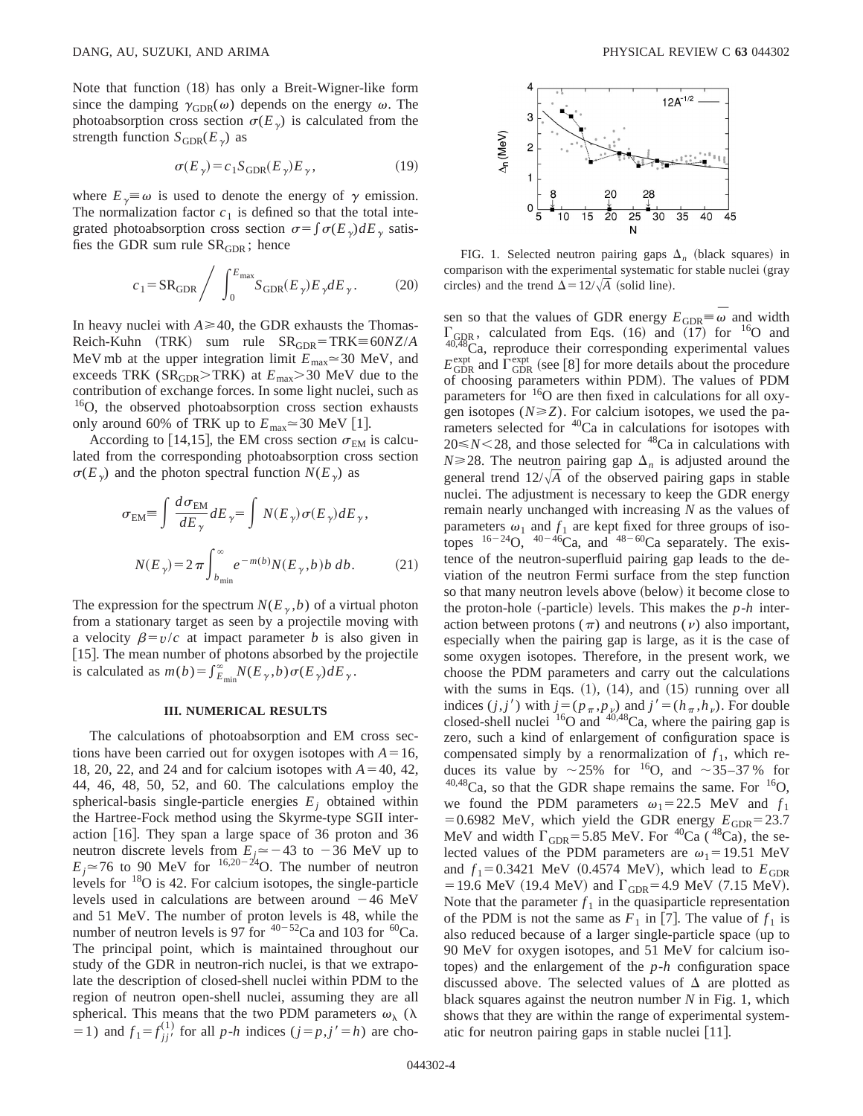Note that function (18) has only a Breit-Wigner-like form since the damping  $\gamma_{GDR}(\omega)$  depends on the energy  $\omega$ . The photoabsorption cross section  $\sigma(E_{\gamma})$  is calculated from the strength function  $S_{GDR}(E_{\gamma})$  as

$$
\sigma(E_{\gamma}) = c_1 S_{\text{GDR}}(E_{\gamma}) E_{\gamma},\tag{19}
$$

where  $E_{\gamma} \equiv \omega$  is used to denote the energy of  $\gamma$  emission. The normalization factor  $c_1$  is defined so that the total integrated photoabsorption cross section  $\sigma = \int \sigma(E_{\gamma}) dE_{\gamma}$  satisfies the GDR sum rule  $SR<sub>GDR</sub>$ ; hence

$$
c_1 = \text{SR}_{\text{GDR}} \bigg/ \int_0^{E_{\text{max}}} S_{\text{GDR}}(E_\gamma) E_\gamma dE_\gamma. \tag{20}
$$

In heavy nuclei with  $A \ge 40$ , the GDR exhausts the Thomas- $Reich-Kuhn$   $(TRK)$  sum rule  $SR_{GDR} = TRK \equiv 60NZ/A$ MeV mb at the upper integration limit  $E_{\text{max}} \approx 30$  MeV, and exceeds TRK ( $SR<sub>GDR</sub> > TRK$ ) at  $E<sub>max</sub> > 30$  MeV due to the contribution of exchange forces. In some light nuclei, such as <sup>16</sup>O, the observed photoabsorption cross section exhausts only around 60% of TRK up to  $E_{\text{max}} \approx 30 \text{ MeV}$  [1].

According to [14,15], the EM cross section  $\sigma_{EM}$  is calculated from the corresponding photoabsorption cross section  $\sigma(E_{\gamma})$  and the photon spectral function  $N(E_{\gamma})$  as

$$
\sigma_{EM} \equiv \int \frac{d\sigma_{EM}}{dE_{\gamma}} dE_{\gamma} = \int N(E_{\gamma}) \sigma(E_{\gamma}) dE_{\gamma},
$$

$$
N(E_{\gamma}) = 2\pi \int_{b_{\text{min}}}^{\infty} e^{-m(b)} N(E_{\gamma}, b) b \, db. \tag{21}
$$

The expression for the spectrum  $N(E_{\gamma}, b)$  of a virtual photon from a stationary target as seen by a projectile moving with a velocity  $\beta = v/c$  at impact parameter *b* is also given in [15]. The mean number of photons absorbed by the projectile is calculated as  $m(b) = \int_{E_{\text{min}}}^{\infty} N(E_{\gamma}, b) \sigma(E_{\gamma}) dE_{\gamma}$ .

#### **III. NUMERICAL RESULTS**

The calculations of photoabsorption and EM cross sections have been carried out for oxygen isotopes with  $A=16$ , 18, 20, 22, and 24 and for calcium isotopes with  $A=40, 42,$ 44, 46, 48, 50, 52, and 60. The calculations employ the spherical-basis single-particle energies  $E_j$  obtained within the Hartree-Fock method using the Skyrme-type SGII interaction  $[16]$ . They span a large space of 36 proton and 36 neutron discrete levels from  $E_j \approx -43$  to  $-36$  MeV up to  $E_j \approx 76$  to 90 MeV for <sup>16,20-24</sup>O. The number of neutron levels for 18O is 42. For calcium isotopes, the single-particle levels used in calculations are between around  $-46$  MeV and 51 MeV. The number of proton levels is 48, while the number of neutron levels is 97 for  $40-52$ Ca and 103 for  $60$ Ca. The principal point, which is maintained throughout our study of the GDR in neutron-rich nuclei, is that we extrapolate the description of closed-shell nuclei within PDM to the region of neutron open-shell nuclei, assuming they are all spherical. This means that the two PDM parameters  $\omega_{\lambda}$  ( $\lambda$  $(1)$  and  $f_1 = f_{jj'}^{(1)}$  for all *p*-*h* indices  $(j = p, j' = h)$  are cho-



FIG. 1. Selected neutron pairing gaps  $\Delta_n$  (black squares) in comparison with the experimental systematic for stable nuclei (gray circles) and the trend  $\Delta = 12/\sqrt{A}$  (solid line).

sen so that the values of GDR energy  $E_{GDR} \equiv \overline{\omega}$  and width  $\Gamma_{\text{GDR}}$ , calculated from Eqs. (16) and (17) for <sup>16</sup>O and  $40,48$ Ca, reproduce their corresponding experimental values  $E_{\text{GDR}}^{\text{expt}}$  and  $\Gamma_{\text{GDR}}^{\text{expt}}$  (see [8] for more details about the procedure of choosing parameters within PDM). The values of PDM parameters for  $16$ O are then fixed in calculations for all oxygen isotopes  $(N \ge Z)$ . For calcium isotopes, we used the parameters selected for <sup>40</sup>Ca in calculations for isotopes with  $20 \le N \le 28$ , and those selected for <sup>48</sup>Ca in calculations with  $N \ge 28$ . The neutron pairing gap  $\Delta_n$  is adjusted around the general trend  $12/\sqrt{A}$  of the observed pairing gaps in stable nuclei. The adjustment is necessary to keep the GDR energy remain nearly unchanged with increasing *N* as the values of parameters  $\omega_1$  and  $f_1$  are kept fixed for three groups of isotopes  $16-24$ O,  $40-\frac{46}{16}$ Ca, and  $48-60$ Ca separately. The existence of the neutron-superfluid pairing gap leads to the deviation of the neutron Fermi surface from the step function so that many neutron levels above (below) it become close to the proton-hole  $(-particle)$  levels. This makes the  $p-h$  interaction between protons ( $\pi$ ) and neutrons ( $\nu$ ) also important, especially when the pairing gap is large, as it is the case of some oxygen isotopes. Therefore, in the present work, we choose the PDM parameters and carry out the calculations with the sums in Eqs.  $(1)$ ,  $(14)$ , and  $(15)$  running over all indices  $(j, j')$  with  $j = (p_\pi, p_\nu)$  and  $j' = (h_\pi, h_\nu)$ . For double closed-shell nuclei  $^{16}O$  and  $^{40,48}Ca$ , where the pairing gap is zero, such a kind of enlargement of configuration space is compensated simply by a renormalization of  $f_1$ , which reduces its value by  $\sim$  25% for <sup>16</sup>O, and  $\sim$  35–37% for  $40,48$ Ca, so that the GDR shape remains the same. For  $16$ O, we found the PDM parameters  $\omega_1 = 22.5$  MeV and  $f_1$ =0.6982 MeV, which yield the GDR energy  $E_{GDR}$ =23.7 MeV and width  $\Gamma_{\text{GDR}}$ =5.85 MeV. For <sup>40</sup>Ca (<sup>48</sup>Ca), the selected values of the PDM parameters are  $\omega_1$ =19.51 MeV and  $f_1 = 0.3421$  MeV (0.4574 MeV), which lead to  $E_{\text{GDR}}$ = 19.6 MeV (19.4 MeV) and  $\Gamma_{\text{GDR}}$ = 4.9 MeV (7.15 MeV). Note that the parameter  $f_1$  in the quasiparticle representation of the PDM is not the same as  $F_1$  in [7]. The value of  $f_1$  is also reduced because of a larger single-particle space (up to 90 MeV for oxygen isotopes, and 51 MeV for calcium isotopes) and the enlargement of the  $p-h$  configuration space discussed above. The selected values of  $\Delta$  are plotted as black squares against the neutron number *N* in Fig. 1, which shows that they are within the range of experimental systematic for neutron pairing gaps in stable nuclei  $[11]$ .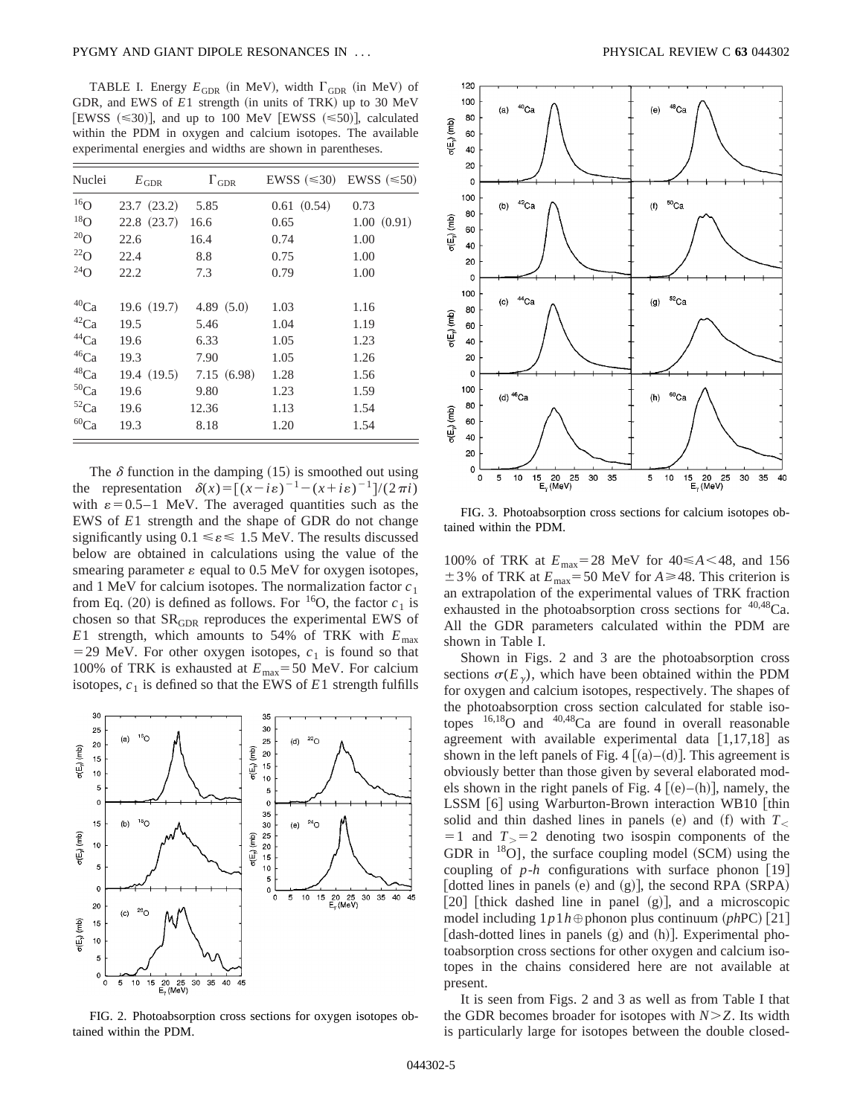TABLE I. Energy  $E_{GDR}$  (in MeV), width  $\Gamma_{GDR}$  (in MeV) of GDR, and EWS of  $E1$  strength (in units of TRK) up to 30 MeV [EWSS  $(\leq 30)$ ], and up to 100 MeV [EWSS  $(\leq 50)$ ], calculated within the PDM in oxygen and calcium isotopes. The available experimental energies and widths are shown in parentheses.

| Nuclei               | $E_{\rm GDR}$ | $\Gamma_{\text{GDR}}$ | EWSS $(\leq 30)$ EWSS $(\leq 50)$ |            |
|----------------------|---------------|-----------------------|-----------------------------------|------------|
| 16 <sub>O</sub>      | 23.7(23.2)    | 5.85                  | 0.61(0.54)                        | 0.73       |
| $^{18}$ O            | 22.8(23.7)    | 16.6                  | 0.65                              | 1.00(0.91) |
| $^{20}$ O            | 22.6          | 16.4                  | 0.74                              | 1.00       |
| $^{22}$ O            | 22.4          | 8.8                   | 0.75                              | 1.00       |
| $^{24}$ O            | 22.2          | 7.3                   | 0.79                              | 1.00       |
| ${}^{40}\mathrm{Ca}$ | 19.6(19.7)    | 4.89 $(5.0)$          | 1.03                              | 1.16       |
| ${}^{42}\mathrm{Ca}$ | 19.5          | 5.46                  | 1.04                              | 1.19       |
| $^{44}Ca$            | 19.6          | 6.33                  | 1.05                              | 1.23       |
| $^{46}Ca$            | 19.3          | 7.90                  | 1.05                              | 1.26       |
| $^{48}\mathrm{Ca}$   | 19.4 (19.5)   | 7.15(6.98)            | 1.28                              | 1.56       |
| $50$ Ca              | 19.6          | 9.80                  | 1.23                              | 1.59       |
| ${}^{52}Ca$          | 19.6          | 12.36                 | 1.13                              | 1.54       |
| $^{60}\mathrm{Ca}$   | 19.3          | 8.18                  | 1.20                              | 1.54       |

The  $\delta$  function in the damping (15) is smoothed out using the representation  $\delta(x) = [(x - i\varepsilon)^{-1} - (x + i\varepsilon)^{-1}]/(2\pi i)$ with  $\varepsilon$ =0.5–1 MeV. The averaged quantities such as the EWS of *E*1 strength and the shape of GDR do not change significantly using  $0.1 \le \epsilon \le 1.5$  MeV. The results discussed below are obtained in calculations using the value of the smearing parameter  $\varepsilon$  equal to 0.5 MeV for oxygen isotopes, and 1 MeV for calcium isotopes. The normalization factor *c*<sup>1</sup> from Eq. (20) is defined as follows. For <sup>16</sup>O, the factor  $c_1$  is chosen so that  $SR<sub>GDR</sub>$  reproduces the experimental EWS of *E*1 strength, which amounts to 54% of TRK with  $E_{\text{max}}$  $=$  29 MeV. For other oxygen isotopes,  $c<sub>1</sub>$  is found so that 100% of TRK is exhausted at  $E_{\text{max}}$ =50 MeV. For calcium isotopes,  $c_1$  is defined so that the EWS of  $E1$  strength fulfills



FIG. 2. Photoabsorption cross sections for oxygen isotopes obtained within the PDM.



FIG. 3. Photoabsorption cross sections for calcium isotopes obtained within the PDM.

100% of TRK at  $E_{\text{max}}=28$  MeV for  $40 \le A \le 48$ , and 156  $\pm$  3% of TRK at  $E_{\text{max}}$ = 50 MeV for *A* ≥ 48. This criterion is an extrapolation of the experimental values of TRK fraction exhausted in the photoabsorption cross sections for <sup>40,48</sup>Ca. All the GDR parameters calculated within the PDM are shown in Table I.

Shown in Figs. 2 and 3 are the photoabsorption cross sections  $\sigma(E_y)$ , which have been obtained within the PDM for oxygen and calcium isotopes, respectively. The shapes of the photoabsorption cross section calculated for stable isotopes 16,18O and 40,48Ca are found in overall reasonable agreement with available experimental data  $[1,17,18]$  as shown in the left panels of Fig. 4  $[(a)–(d)]$ . This agreement is obviously better than those given by several elaborated models shown in the right panels of Fig. 4  $[(e)–(h)]$ , namely, the LSSM [6] using Warburton-Brown interaction WB10 [thin solid and thin dashed lines in panels (e) and (f) with  $T<sub>0</sub>$  $=1$  and  $T_{>}=2$  denoting two isospin components of the GDR in  $^{18}$ O], the surface coupling model (SCM) using the coupling of  $p-h$  configurations with surface phonon [19] [dotted lines in panels  $(e)$  and  $(g)$ ], the second RPA  $(SRPA)$  $[20]$  [thick dashed line in panel  $(g)$ ], and a microscopic model including  $1p1h \oplus$  phonon plus continuum (*phPC*) [21] [dash-dotted lines in panels  $(g)$  and  $(h)$ ]. Experimental photoabsorption cross sections for other oxygen and calcium isotopes in the chains considered here are not available at present.

It is seen from Figs. 2 and 3 as well as from Table I that the GDR becomes broader for isotopes with  $N \geq Z$ . Its width is particularly large for isotopes between the double closed-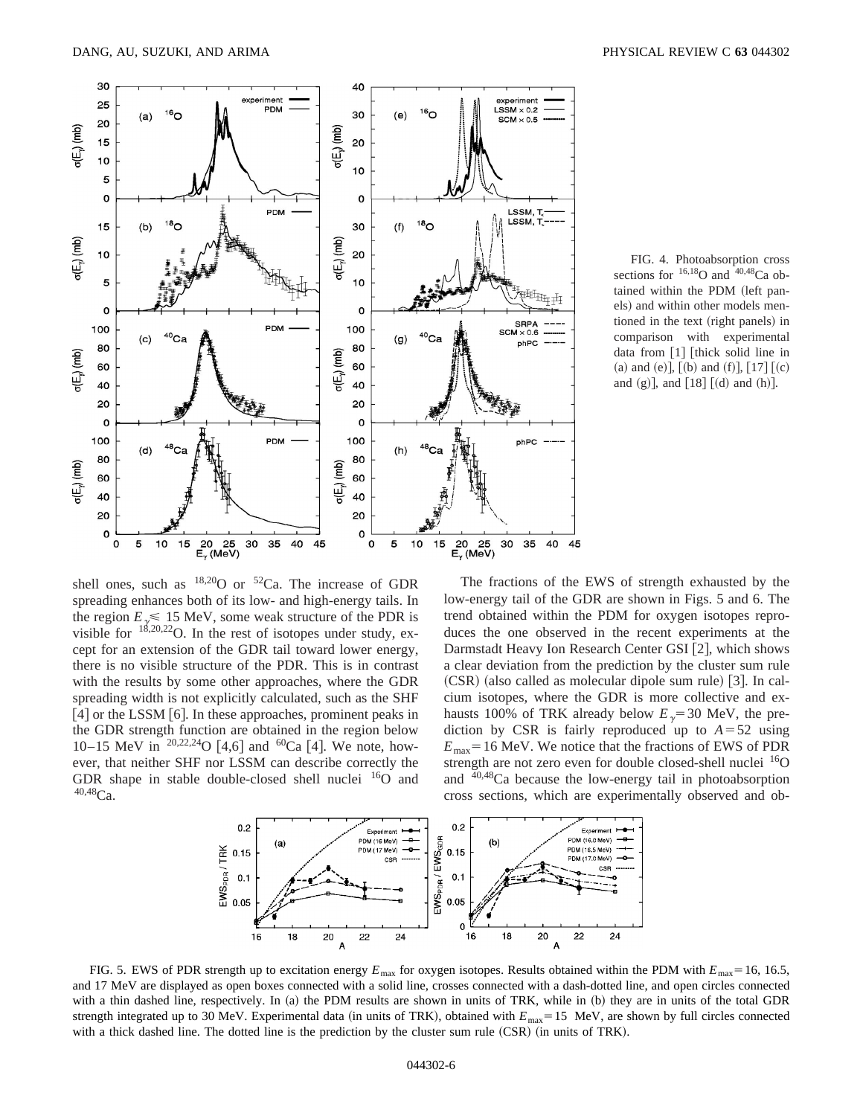

FIG. 4. Photoabsorption cross sections for  $^{16,18}$ O and  $^{40,48}$ Ca obtained within the PDM (left panels) and within other models mentioned in the text (right panels) in comparison with experimental data from  $\lceil 1 \rceil$  [thick solid line in (a) and (e)],  $[(b)$  and  $(f)$ ],  $[17]$   $[(c)$ and (g)], and  $[18]$   $[(d)$  and  $(h)]$ .

shell ones, such as  $^{18,20}$ O or  $^{52}$ Ca. The increase of GDR spreading enhances both of its low- and high-energy tails. In the region  $E \le 15$  MeV, some weak structure of the PDR is wisible for  $18,20,22$  O. In the rest of isotopes under study, except for an extension of the GDR tail toward lower energy, there is no visible structure of the PDR. This is in contrast with the results by some other approaches, where the GDR spreading width is not explicitly calculated, such as the SHF  $[4]$  or the LSSM  $[6]$ . In these approaches, prominent peaks in the GDR strength function are obtained in the region below 10–15 MeV in  $^{20,22,24}$ O [4,6] and  $^{60}$ Ca [4]. We note, however, that neither SHF nor LSSM can describe correctly the GDR shape in stable double-closed shell nuclei  $^{16}$ O and  $40,48$ Ca.

The fractions of the EWS of strength exhausted by the low-energy tail of the GDR are shown in Figs. 5 and 6. The trend obtained within the PDM for oxygen isotopes reproduces the one observed in the recent experiments at the Darmstadt Heavy Ion Research Center GSI [2], which shows a clear deviation from the prediction by the cluster sum rule  $(CSR)$  (also called as molecular dipole sum rule) [3]. In calcium isotopes, where the GDR is more collective and exhausts 100% of TRK already below  $E<sub>y</sub>=30$  MeV, the prediction by CSR is fairly reproduced up to  $A = 52$  using  $E_{\text{max}}$  = 16 MeV. We notice that the fractions of EWS of PDR strength are not zero even for double closed-shell nuclei  $^{16}O$ and  $40,48$ Ca because the low-energy tail in photoabsorption cross sections, which are experimentally observed and ob-



FIG. 5. EWS of PDR strength up to excitation energy  $E_{\text{max}}$  for oxygen isotopes. Results obtained within the PDM with  $E_{\text{max}}=16, 16.5$ , and 17 MeV are displayed as open boxes connected with a solid line, crosses connected with a dash-dotted line, and open circles connected with a thin dashed line, respectively. In (a) the PDM results are shown in units of TRK, while in (b) they are in units of the total GDR strength integrated up to 30 MeV. Experimental data (in units of TRK), obtained with  $E_{\text{max}}=15$  MeV, are shown by full circles connected with a thick dashed line. The dotted line is the prediction by the cluster sum rule  $(CSR)$  (in units of TRK).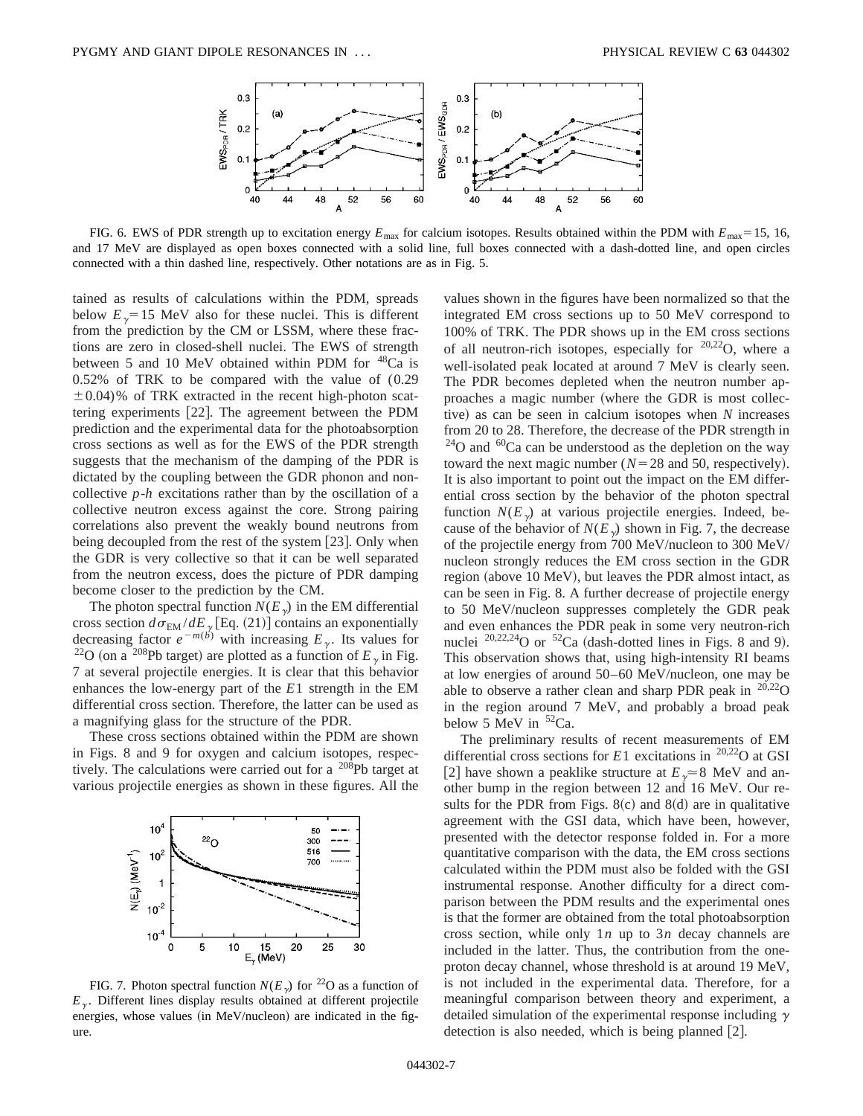

FIG. 6. EWS of PDR strength up to excitation energy  $E_{\text{max}}$  for calcium isotopes. Results obtained within the PDM with  $E_{\text{max}}=15$ , 16, and 17 MeV are displayed as open boxes connected with a solid line, full boxes connected with a dash-dotted line, and open circles connected with a thin dashed line, respectively. Other notations are as in Fig. 5.

tained as results of calculations within the PDM, spreads below  $E<sub>y</sub>=15$  MeV also for these nuclei. This is different from the prediction by the CM or LSSM, where these fractions are zero in closed-shell nuclei. The EWS of strength between 5 and 10 MeV obtained within PDM for <sup>48</sup>Ca is 0.52% of TRK to be compared with the value of (0.29  $\pm$  0.04)% of TRK extracted in the recent high-photon scattering experiments [22]. The agreement between the PDM prediction and the experimental data for the photoabsorption cross sections as well as for the EWS of the PDR strength suggests that the mechanism of the damping of the PDR is dictated by the coupling between the GDR phonon and noncollective *p*-*h* excitations rather than by the oscillation of a collective neutron excess against the core. Strong pairing correlations also prevent the weakly bound neutrons from being decoupled from the rest of the system  $[23]$ . Only when the GDR is very collective so that it can be well separated from the neutron excess, does the picture of PDR damping become closer to the prediction by the CM.

The photon spectral function  $N(E_{\gamma})$  in the EM differential cross section  $d\sigma_{EM} / dE_{\gamma}$  [Eq. (21)] contains an exponentially decreasing factor  $e^{-m(b)}$  with increasing  $E_{\gamma}$ . Its values for <sup>22</sup>O (on a <sup>208</sup>Pb target) are plotted as a function of  $E<sub>y</sub>$  in Fig. 7 at several projectile energies. It is clear that this behavior enhances the low-energy part of the *E*1 strength in the EM differential cross section. Therefore, the latter can be used as a magnifying glass for the structure of the PDR.

These cross sections obtained within the PDM are shown in Figs. 8 and 9 for oxygen and calcium isotopes, respectively. The calculations were carried out for a 208Pb target at various projectile energies as shown in these figures. All the



FIG. 7. Photon spectral function  $N(E_{\gamma})$  for <sup>22</sup>O as a function of  $E<sub>y</sub>$ . Different lines display results obtained at different projectile energies, whose values (in MeV/nucleon) are indicated in the figure.

values shown in the figures have been normalized so that the integrated EM cross sections up to 50 MeV correspond to 100% of TRK. The PDR shows up in the EM cross sections of all neutron-rich isotopes, especially for  $20,22$ O, where a well-isolated peak located at around 7 MeV is clearly seen. The PDR becomes depleted when the neutron number approaches a magic number (where the GDR is most collective) as can be seen in calcium isotopes when *N* increases from 20 to 28. Therefore, the decrease of the PDR strength in  $^{24}$ O and  $^{60}$ Ca can be understood as the depletion on the way toward the next magic number ( $N=28$  and 50, respectively). It is also important to point out the impact on the EM differential cross section by the behavior of the photon spectral function  $N(E_{\gamma})$  at various projectile energies. Indeed, because of the behavior of  $N(E_{\gamma})$  shown in Fig. 7, the decrease of the projectile energy from 700 MeV/nucleon to 300 MeV/ nucleon strongly reduces the EM cross section in the GDR region (above 10 MeV), but leaves the PDR almost intact, as can be seen in Fig. 8. A further decrease of projectile energy to 50 MeV/nucleon suppresses completely the GDR peak and even enhances the PDR peak in some very neutron-rich nuclei  $^{20,22,24}$ O or  $^{52}$ Ca (dash-dotted lines in Figs. 8 and 9). This observation shows that, using high-intensity RI beams at low energies of around 50–60 MeV/nucleon, one may be able to observe a rather clean and sharp PDR peak in  $^{20,22}$ O in the region around 7 MeV, and probably a broad peak below 5 MeV in  ${}^{52}Ca$ .

The preliminary results of recent measurements of EM differential cross sections for  $E1$  excitations in <sup>20,22</sup>O at GSI [2] have shown a peaklike structure at  $E<sub>v</sub> \approx 8$  MeV and another bump in the region between 12 and 16 MeV. Our results for the PDR from Figs.  $8(c)$  and  $8(d)$  are in qualitative agreement with the GSI data, which have been, however, presented with the detector response folded in. For a more quantitative comparison with the data, the EM cross sections calculated within the PDM must also be folded with the GSI instrumental response. Another difficulty for a direct comparison between the PDM results and the experimental ones is that the former are obtained from the total photoabsorption cross section, while only 1*n* up to 3*n* decay channels are included in the latter. Thus, the contribution from the oneproton decay channel, whose threshold is at around 19 MeV, is not included in the experimental data. Therefore, for a meaningful comparison between theory and experiment, a detailed simulation of the experimental response including  $\gamma$ detection is also needed, which is being planned  $[2]$ .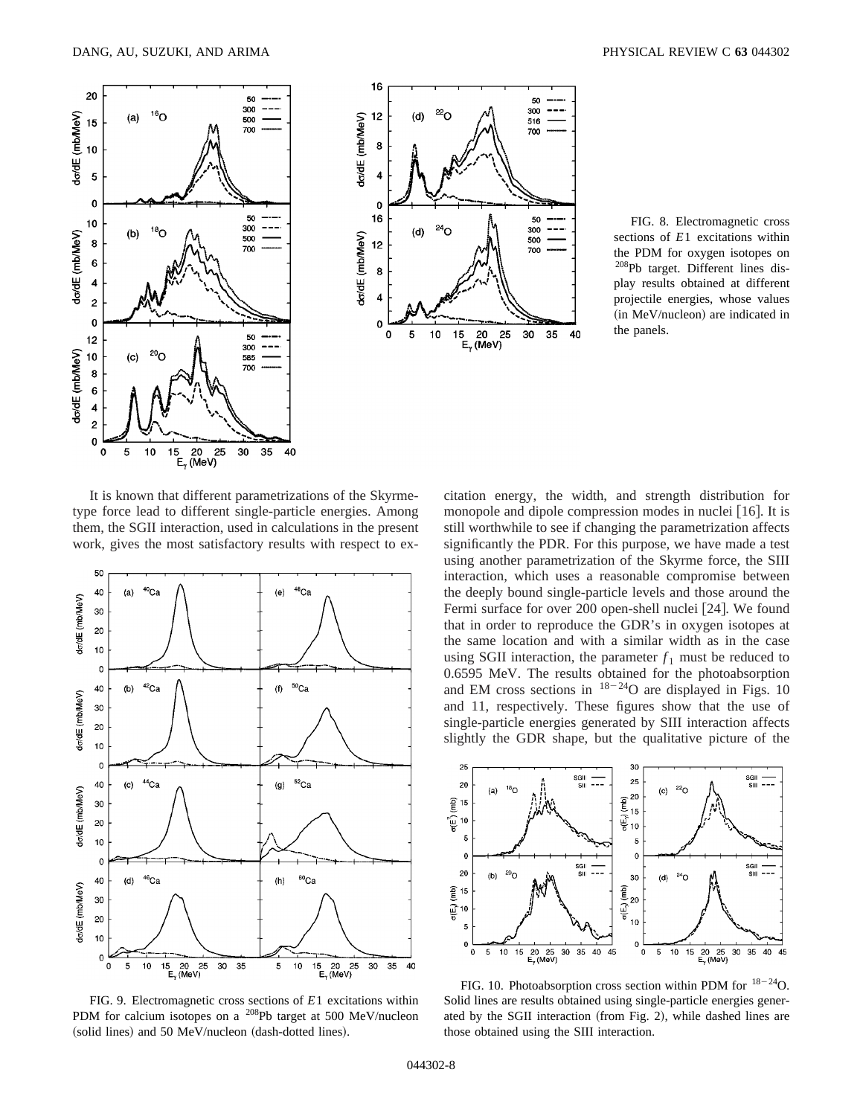



FIG. 8. Electromagnetic cross sections of *E*1 excitations within the PDM for oxygen isotopes on <sup>208</sup>Pb target. Different lines display results obtained at different projectile energies, whose values (in MeV/nucleon) are indicated in the panels.

It is known that different parametrizations of the Skyrmetype force lead to different single-particle energies. Among them, the SGII interaction, used in calculations in the present work, gives the most satisfactory results with respect to ex-



FIG. 9. Electromagnetic cross sections of *E*1 excitations within PDM for calcium isotopes on a 208Pb target at 500 MeV/nucleon (solid lines) and 50 MeV/nucleon (dash-dotted lines).

citation energy, the width, and strength distribution for monopole and dipole compression modes in nuclei  $[16]$ . It is still worthwhile to see if changing the parametrization affects significantly the PDR. For this purpose, we have made a test using another parametrization of the Skyrme force, the SIII interaction, which uses a reasonable compromise between the deeply bound single-particle levels and those around the Fermi surface for over 200 open-shell nuclei  $[24]$ . We found that in order to reproduce the GDR's in oxygen isotopes at the same location and with a similar width as in the case using SGII interaction, the parameter  $f_1$  must be reduced to 0.6595 MeV. The results obtained for the photoabsorption and EM cross sections in  $18-24$ O are displayed in Figs. 10 and 11, respectively. These figures show that the use of single-particle energies generated by SIII interaction affects slightly the GDR shape, but the qualitative picture of the



FIG. 10. Photoabsorption cross section within PDM for  $18-24$ O. Solid lines are results obtained using single-particle energies generated by the SGII interaction (from Fig. 2), while dashed lines are those obtained using the SIII interaction.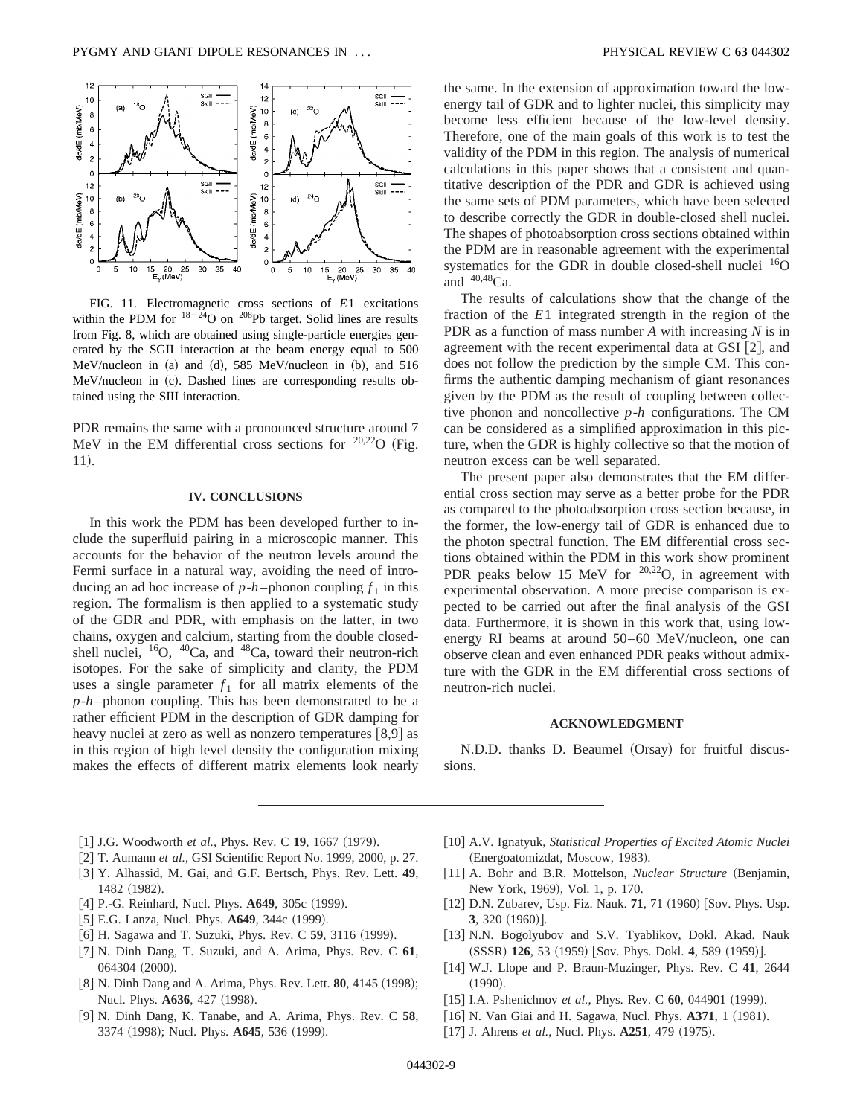

FIG. 11. Electromagnetic cross sections of *E*1 excitations within the PDM for  $18-24$ O on  $208$ Pb target. Solid lines are results from Fig. 8, which are obtained using single-particle energies generated by the SGII interaction at the beam energy equal to 500  $MeV/nucleon$  in (a) and (d), 585 MeV/nucleon in (b), and 516 MeV/nucleon in (c). Dashed lines are corresponding results obtained using the SIII interaction.

PDR remains the same with a pronounced structure around 7 MeV in the EM differential cross sections for  $20,22$ O (Fig. 11).

### **IV. CONCLUSIONS**

In this work the PDM has been developed further to include the superfluid pairing in a microscopic manner. This accounts for the behavior of the neutron levels around the Fermi surface in a natural way, avoiding the need of introducing an ad hoc increase of  $p-h$ -phonon coupling  $f_1$  in this region. The formalism is then applied to a systematic study of the GDR and PDR, with emphasis on the latter, in two chains, oxygen and calcium, starting from the double closedshell nuclei,  $^{16}O$ ,  $^{40}Ca$ , and  $^{48}Ca$ , toward their neutron-rich isotopes. For the sake of simplicity and clarity, the PDM uses a single parameter  $f_1$  for all matrix elements of the *p*-*h* –phonon coupling. This has been demonstrated to be a rather efficient PDM in the description of GDR damping for heavy nuclei at zero as well as nonzero temperatures  $[8,9]$  as in this region of high level density the configuration mixing makes the effects of different matrix elements look nearly the same. In the extension of approximation toward the lowenergy tail of GDR and to lighter nuclei, this simplicity may become less efficient because of the low-level density. Therefore, one of the main goals of this work is to test the validity of the PDM in this region. The analysis of numerical calculations in this paper shows that a consistent and quantitative description of the PDR and GDR is achieved using the same sets of PDM parameters, which have been selected to describe correctly the GDR in double-closed shell nuclei. The shapes of photoabsorption cross sections obtained within the PDM are in reasonable agreement with the experimental systematics for the GDR in double closed-shell nuclei  $^{16}$ O and  $40,48$ Ca.

The results of calculations show that the change of the fraction of the *E*1 integrated strength in the region of the PDR as a function of mass number *A* with increasing *N* is in agreement with the recent experimental data at GSI  $[2]$ , and does not follow the prediction by the simple CM. This confirms the authentic damping mechanism of giant resonances given by the PDM as the result of coupling between collective phonon and noncollective *p*-*h* configurations. The CM can be considered as a simplified approximation in this picture, when the GDR is highly collective so that the motion of neutron excess can be well separated.

The present paper also demonstrates that the EM differential cross section may serve as a better probe for the PDR as compared to the photoabsorption cross section because, in the former, the low-energy tail of GDR is enhanced due to the photon spectral function. The EM differential cross sections obtained within the PDM in this work show prominent PDR peaks below 15 MeV for  $20,22$ O, in agreement with experimental observation. A more precise comparison is expected to be carried out after the final analysis of the GSI data. Furthermore, it is shown in this work that, using lowenergy RI beams at around 50–60 MeV/nucleon, one can observe clean and even enhanced PDR peaks without admixture with the GDR in the EM differential cross sections of neutron-rich nuclei.

#### **ACKNOWLEDGMENT**

N.D.D. thanks D. Beaumel (Orsay) for fruitful discussions.

- [1] J.G. Woodworth *et al.*, Phys. Rev. C 19, 1667 (1979).
- [2] T. Aumann *et al.*, GSI Scientific Report No. 1999, 2000, p. 27.
- @3# Y. Alhassid, M. Gai, and G.F. Bertsch, Phys. Rev. Lett. **49**, 1482 (1982).
- [4] P.-G. Reinhard, Nucl. Phys. A649, 305c (1999).
- [5] E.G. Lanza, Nucl. Phys. **A649**, 344c (1999).
- [6] H. Sagawa and T. Suzuki, Phys. Rev. C **59**, 3116 (1999).
- @7# N. Dinh Dang, T. Suzuki, and A. Arima, Phys. Rev. C **61**, 064304 (2000).
- [8] N. Dinh Dang and A. Arima, Phys. Rev. Lett. **80**, 4145 (1998); Nucl. Phys. **A636**, 427 (1998).
- [9] N. Dinh Dang, K. Tanabe, and A. Arima, Phys. Rev. C 58, 3374 (1998); Nucl. Phys. **A645**, 536 (1999).
- [10] A.V. Ignatyuk, *Statistical Properties of Excited Atomic Nuclei* (Energoatomizdat, Moscow, 1983).
- [11] A. Bohr and B.R. Mottelson, *Nuclear Structure* (Benjamin, New York, 1969), Vol. 1, p. 170.
- [12] D.N. Zubarev, Usp. Fiz. Nauk. 71, 71 (1960) [Sov. Phys. Usp. **3**, 320 (1960)].
- [13] N.N. Bogolyubov and S.V. Tyablikov, Dokl. Akad. Nauk (SSSR) 126, 53 (1959) [Sov. Phys. Dokl. 4, 589 (1959)].
- [14] W.J. Llope and P. Braun-Muzinger, Phys. Rev. C 41, 2644  $(1990).$
- [15] I.A. Pshenichnov *et al.*, Phys. Rev. C 60, 044901 (1999).
- [16] N. Van Giai and H. Sagawa, Nucl. Phys. **A371**, 1 (1981).
- $[17]$  J. Ahrens *et al.*, Nucl. Phys.  $A251$ , 479  $(1975)$ .